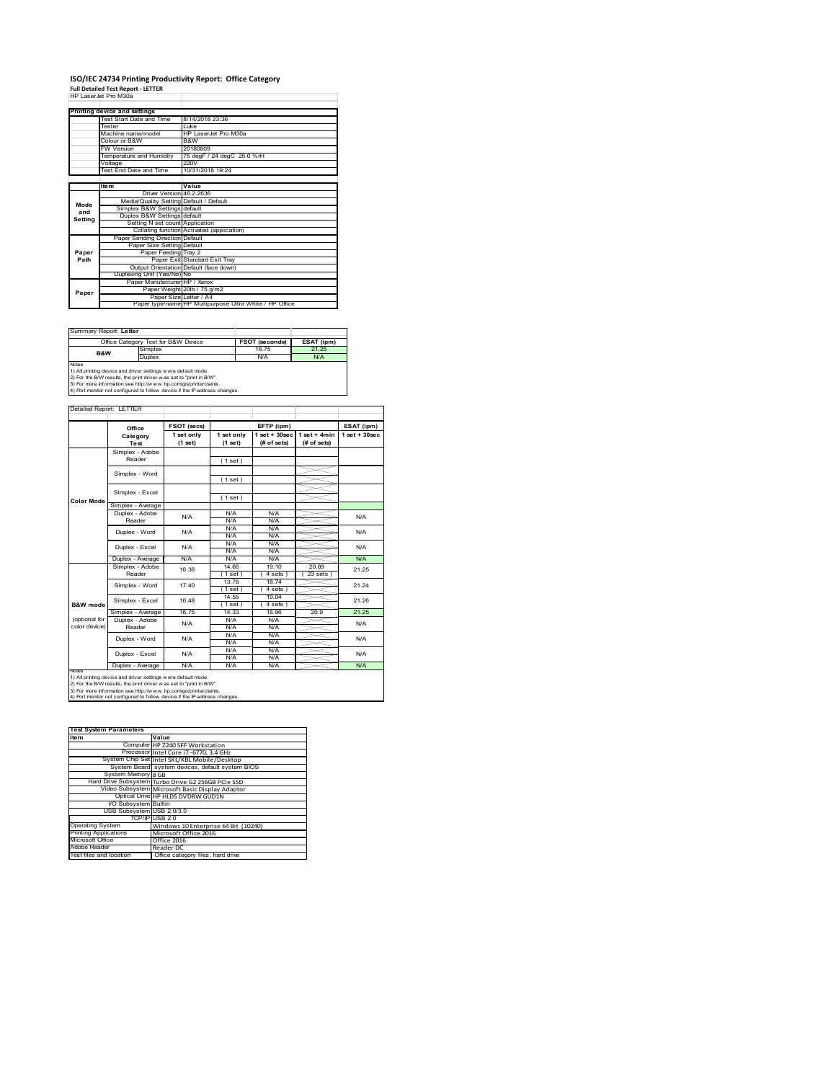# **ISO/IEC 24734 Printing Productivity Report: Office Category Full Detailed Test Report ‐ LETTER** HP LaserJet Pro M30a

|         | 62 12866.89 PR) M.N.A                   |                                                         |
|---------|-----------------------------------------|---------------------------------------------------------|
|         |                                         |                                                         |
|         | Printing device and settings            |                                                         |
|         | Test Start Date and Time                | 8/14/2018 23:36                                         |
|         | <b>Tester</b>                           | l uke                                                   |
|         | Machine name/model                      | HP LaserJet Pro M30a                                    |
|         | Colour or B&W                           | B&W                                                     |
|         | <b>FW Version</b>                       | 20180809                                                |
|         | Temperature and Humidity                | 75 degF / 24 degC 25.0 %rH                              |
|         | Voltage                                 | 220V                                                    |
|         | Test End Date and Time                  | 10/31/2018 19:24                                        |
|         |                                         |                                                         |
|         | <b>Item</b>                             | Value                                                   |
|         | Driver Version 46.2.2636                |                                                         |
| Mode    | Media/Quality Setting Default / Default |                                                         |
| and     | Simplex B&W Settings default            |                                                         |
| Setting | Duplex B&W Settings default             |                                                         |
|         | Setting N set count Application         |                                                         |
|         |                                         | Collating function Activated (application)              |
|         | Paper Sending Direction Default         |                                                         |
|         | Paper Size Setting Default              |                                                         |
| Paper   | Paper Feeding Tray 2                    |                                                         |
| Path    |                                         | Paper Exit Standard Exit Tray                           |
|         |                                         | Output Orientation Default (face down)                  |
|         | Duplexing Unit (Yes/No) No              |                                                         |
|         | Paper Manufacturer HP / Xerox           |                                                         |
| Paper   |                                         | Paper Weight 20lb / 75 g/m2                             |
|         |                                         | Paper Size Letter / A4                                  |
|         |                                         | Paper type/name HP Multipurpose Ultra White / HP Office |

| Summary Report: Letter                                              |                                                                            |                       |            |  |  |
|---------------------------------------------------------------------|----------------------------------------------------------------------------|-----------------------|------------|--|--|
|                                                                     | Office Category Test for B&W Device                                        | <b>FSOT (seconds)</b> | ESAT (ipm) |  |  |
| <b>B&amp;W</b>                                                      | Simplex                                                                    | 16 75                 | 21 25      |  |  |
| Duplex                                                              |                                                                            | N/A                   | N/A        |  |  |
| <b>Notes</b>                                                        |                                                                            |                       |            |  |  |
| 1) All printing device and driver settings w ere default mode.      |                                                                            |                       |            |  |  |
| 2) For the B/W results, the print driver was set to "print in B/W". |                                                                            |                       |            |  |  |
| 3) For more information see http://www.hp.com/go/printerclaims.     |                                                                            |                       |            |  |  |
|                                                                     | 4) Port monitor not configured to follow device if the IP address changes. |                       |            |  |  |

|                     | Office            | <b>FSOT (secs)</b>    |                       | EFTP (ipm)                        |                               | ESAT (ipm)        |
|---------------------|-------------------|-----------------------|-----------------------|-----------------------------------|-------------------------------|-------------------|
|                     | Category<br>Test  | 1 set only<br>(1 set) | 1 set only<br>(1 set) | $1$ set + $30$ sec<br>(# of sets) | $1$ set + 4min<br>(# of sets) | $1$ set $+30$ sec |
|                     | Simplex - Adobe   |                       |                       |                                   |                               |                   |
|                     | Reader            |                       | (1 set)               |                                   |                               |                   |
|                     |                   |                       |                       |                                   |                               |                   |
|                     | Simplex - Word    |                       | (1 set)               |                                   |                               |                   |
|                     | Simplex - Excel   |                       |                       |                                   |                               |                   |
| <b>Color Mode</b>   |                   |                       | (1 set)               |                                   |                               |                   |
|                     | Simplex - Average |                       |                       |                                   |                               |                   |
|                     | Duplex - Adobe    | N/A                   | N/A                   | N/A                               |                               | N/A               |
|                     | Reader            |                       | N/A                   | N/A                               |                               |                   |
|                     | Duplex - Word     | N/A                   | N/A                   | N/A                               |                               | N/A               |
|                     |                   |                       | N/A                   | N/A                               |                               |                   |
|                     | Duplex - Excel    | N/A                   | N/A                   | N/A                               |                               | N/A               |
|                     |                   |                       | N/A                   | N/A                               |                               |                   |
|                     | Duplex - Average  | N/A                   | N/A                   | N/A                               |                               | <b>N/A</b>        |
|                     | Simplex - Adobe   | 16.36                 | 14.66                 | 19.10                             | 20.89                         | 21.25             |
|                     | Reader            |                       | 1 set                 | 4 sets                            | 23 sets                       |                   |
|                     | Simplex - Word    | 1740                  | 13.78                 | 18.74                             |                               | 21 24             |
|                     |                   |                       | $1$ set               | 4 sets )                          |                               |                   |
|                     | Simplex - Excel   | 16 48                 | 14.55                 | 19 04                             |                               | 21.26             |
| <b>B&amp;W</b> mode |                   |                       | (1 set)               | 4 sets                            |                               |                   |
|                     | Simplex - Average | 1675                  | 14 33                 | 18.96                             | 20.9                          | 21 25             |
| (optional for       | Duplex - Adobe    | N/A                   | N/A                   | N/A                               |                               | N/A               |
| color device)       | Reader            |                       | N/A                   | N/A                               |                               |                   |
|                     | Duplex - Word     | N/A                   | N/A                   | N/A                               |                               | N/A               |
|                     |                   |                       | N/A                   | N/A                               |                               |                   |
|                     | Duplex - Excel    | N/A                   | N/A                   | N/A                               |                               | N/A               |
|                     |                   |                       | N/A                   | N/A                               |                               |                   |
| <b>NOTeS</b>        | Duplex - Average  | N/A                   | N/A                   | N/A                               |                               | N/A               |

2) For the B/W results, the print driver w as set to "print in B/W".<br>3) For more information see http://w w w .hp.com/go/printerclaims.<br>4) Port monitor not configured to follow device if the IP address changes.

| <b>Test System Parameters</b> |                                                    |
|-------------------------------|----------------------------------------------------|
| <b>Item</b>                   | Value                                              |
|                               | Computer HP Z240 SFF Workstation                   |
|                               | Processor Intel Core i7 -6770, 3.4 GHz             |
|                               | System Chip Set Intel SKL/KBL Mobile/Desktop       |
|                               | System Board system devices, default system BIOS   |
| System Memory 8 GB            |                                                    |
|                               | Hard Drive Subsystem Turbo Drive G2 256GB PCIe SSD |
|                               | Video Subsystem Microsoft Basic Display Adaptor    |
|                               | Optical Drive HP HLDS DVDRW GUD1N                  |
| <b>VO Subsystem Builtin</b>   |                                                    |
| USB Subsystem USB 2.0/3.0     |                                                    |
|                               | TCP/IP USB 2.0                                     |
| <b>Operating System</b>       | Windows 10 Enterprise 64 Bit (10240)               |
| <b>Printing Applications</b>  | Microsoft Office 2016                              |
| Microsoft Office              | Office 2016                                        |
| Adobe Reader                  | Reader DC                                          |
| Test files and location       | Office category files, hard drive                  |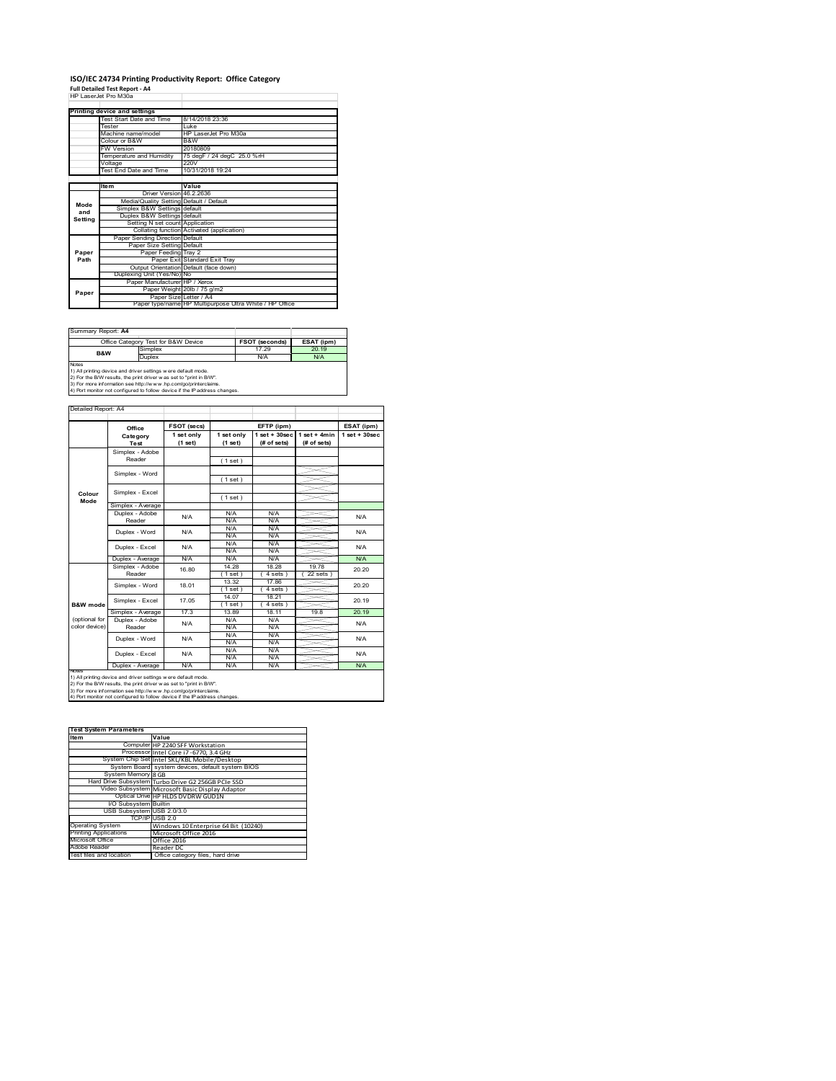# **ISO/IEC 24734 Printing Productivity Report: Office Category Full Detailed Test Report ‐ A4** HP LaserJet Pro M30a

|         | 66 12866.89 PR) M.N.A                   |                                                         |
|---------|-----------------------------------------|---------------------------------------------------------|
|         |                                         |                                                         |
|         | Printing device and settings            |                                                         |
|         | Test Start Date and Time                | 8/14/2018 23:36                                         |
|         | <b>Tester</b>                           | l uke                                                   |
|         | Machine name/model                      | HP LaserJet Pro M30a                                    |
|         | Colour or B&W                           | B&W                                                     |
|         | <b>FW Version</b>                       | 20180809                                                |
|         | Temperature and Humidity                | 75 degF / 24 degC 25.0 %rH                              |
|         | Voltage                                 | 220V                                                    |
|         | Test End Date and Time                  | 10/31/2018 19:24                                        |
|         |                                         |                                                         |
|         | <b>Item</b>                             | Value                                                   |
|         | Driver Version 46.2.2636                |                                                         |
| Mode    | Media/Quality Setting Default / Default |                                                         |
| and     | Simplex B&W Settings default            |                                                         |
| Setting | Duplex B&W Settings default             |                                                         |
|         | Setting N set count Application         |                                                         |
|         |                                         | Collating function Activated (application)              |
|         | Paper Sending Direction Default         |                                                         |
|         | Paper Size Setting Default              |                                                         |
| Paper   | Paper Feeding Tray 2                    |                                                         |
| Path    |                                         | Paper Exit Standard Exit Tray                           |
|         |                                         | Output Orientation Default (face down)                  |
|         | Duplexing Unit (Yes/No) No              |                                                         |
|         | Paper Manufacturer HP / Xerox           |                                                         |
| Paper   |                                         | Paper Weight 20lb / 75 g/m2                             |
|         | Paper Size Letter / A4                  |                                                         |
|         |                                         | Paper type/name HP Multipurpose Ultra White / HP Office |

| Summary Report: A4                                                  |                                                                            |                |            |  |  |
|---------------------------------------------------------------------|----------------------------------------------------------------------------|----------------|------------|--|--|
|                                                                     | Office Category Test for B&W Device                                        | FSOT (seconds) | ESAT (ipm) |  |  |
| <b>B&amp;W</b>                                                      | Simplex                                                                    | 17.29          | 20.19      |  |  |
| Duplex                                                              |                                                                            | N/A            | N/A        |  |  |
| <b>Notes</b>                                                        |                                                                            |                |            |  |  |
|                                                                     | 1) All printing device and driver settings w ere default mode.             |                |            |  |  |
| 2) For the B/W results, the print driver was set to "print in B/W". |                                                                            |                |            |  |  |
| 3) For more information see http://www.hp.com/go/printerclaims.     |                                                                            |                |            |  |  |
|                                                                     | 4) Port monitor not configured to follow device if the IP address changes. |                |            |  |  |

|               | Office            | FSOT (secs)           |                       | EFTP (ipm)                        |                               | ESAT (ipm)      |
|---------------|-------------------|-----------------------|-----------------------|-----------------------------------|-------------------------------|-----------------|
|               | Category<br>Test  | 1 set only<br>(1 set) | 1 set only<br>(1 set) | $1$ set + $30$ sec<br>(# of sets) | $1$ set + 4min<br>(# of sets) | $1$ set + 30sec |
|               | Simplex - Adobe   |                       |                       |                                   |                               |                 |
|               | Reader            |                       | (1 set)               |                                   |                               |                 |
|               |                   |                       |                       |                                   |                               |                 |
|               | Simplex - Word    |                       | (1 set)               |                                   |                               |                 |
|               | Simplex - Excel   |                       |                       |                                   |                               |                 |
| Colour        |                   |                       | (1 set)               |                                   |                               |                 |
| Mode          | Simplex - Average |                       |                       |                                   |                               |                 |
|               | Duplex - Adobe    | N/A                   | N/A                   | N/A                               |                               | N/A             |
|               | Reader            |                       | N/A                   | N/A                               |                               |                 |
|               | Duplex - Word     | N/A                   | N/A                   | N/A                               |                               | N/A             |
|               |                   |                       | N/A                   | N/A                               |                               |                 |
|               | Duplex - Excel    | N/A                   | N/A                   | N/A                               |                               | N/A             |
|               |                   |                       | N/A                   | N/A                               |                               |                 |
|               | Duplex - Average  | N/A                   | N/A                   | N/A                               |                               | N/A             |
|               | Simplex - Adobe   | 16.80                 | 14.28                 | 18.28                             | 1978                          | 20.20           |
|               | Reader            |                       | 1 set                 | 4 sets 1                          | 22 sets                       |                 |
|               | Simplex - Word    | 18.01                 | 13.32                 | 1786                              |                               | 20.20           |
|               |                   |                       | $1$ set)              | 4 sets)                           |                               |                 |
|               | Simplex - Excel   | 17.05                 | 14.07                 | 18.21                             |                               | 20.19           |
| B&W mode      |                   |                       | $1$ set)              | 4 sets )                          |                               |                 |
|               | Simplex - Average | 17.3                  | 13.89                 | 18 11                             | 19.8                          | 20 19           |
| (optional for | Duplex - Adobe    | N/A                   | N/A                   | N/A                               |                               | N/A             |
| color device) | Reader            |                       | N/A                   | N/A                               |                               |                 |
|               | Duplex - Word     | N/A                   | N/A                   | N/A                               |                               | N/A             |
|               |                   |                       | N/A                   | N/A                               |                               |                 |
|               | Duplex - Excel    | N/A                   | N/A                   | N/A                               |                               | <b>N/A</b>      |
|               |                   |                       | N/A                   | N/A                               |                               |                 |
| <b>NOTAS</b>  | Duplex - Average  | N/A                   | N/A                   | N/A                               |                               | N/A             |

2) For the B/W results, the print driver w as set to "print in B/W".<br>3) For more information see http://w w w .hp.com/go/printerclaims.<br>4) Port monitor not configured to follow device if the IP address changes.

| <b>Test System Parameters</b> |                                                    |
|-------------------------------|----------------------------------------------------|
| <b>Item</b>                   | Value                                              |
|                               | Computer HP Z240 SFF Workstation                   |
|                               | Processor Intel Core i7 -6770, 3.4 GHz             |
|                               | System Chip Set Intel SKL/KBL Mobile/Desktop       |
|                               | System Board system devices, default system BIOS   |
| System Memory 8 GB            |                                                    |
|                               | Hard Drive Subsystem Turbo Drive G2 256GB PCIe SSD |
|                               | Video Subsystem Microsoft Basic Display Adaptor    |
|                               | Optical Drive HP HLDS DVDRW GUD1N                  |
| <b>VO Subsystem Builtin</b>   |                                                    |
| USB Subsystem USB 2.0/3.0     |                                                    |
|                               | TCP/IP USB 2.0                                     |
| <b>Operating System</b>       | Windows 10 Enterprise 64 Bit (10240)               |
| <b>Printing Applications</b>  | Microsoft Office 2016                              |
| Microsoft Office              | Office 2016                                        |
| Adobe Reader                  | Reader DC                                          |
| Test files and location       | Office category files, hard drive                  |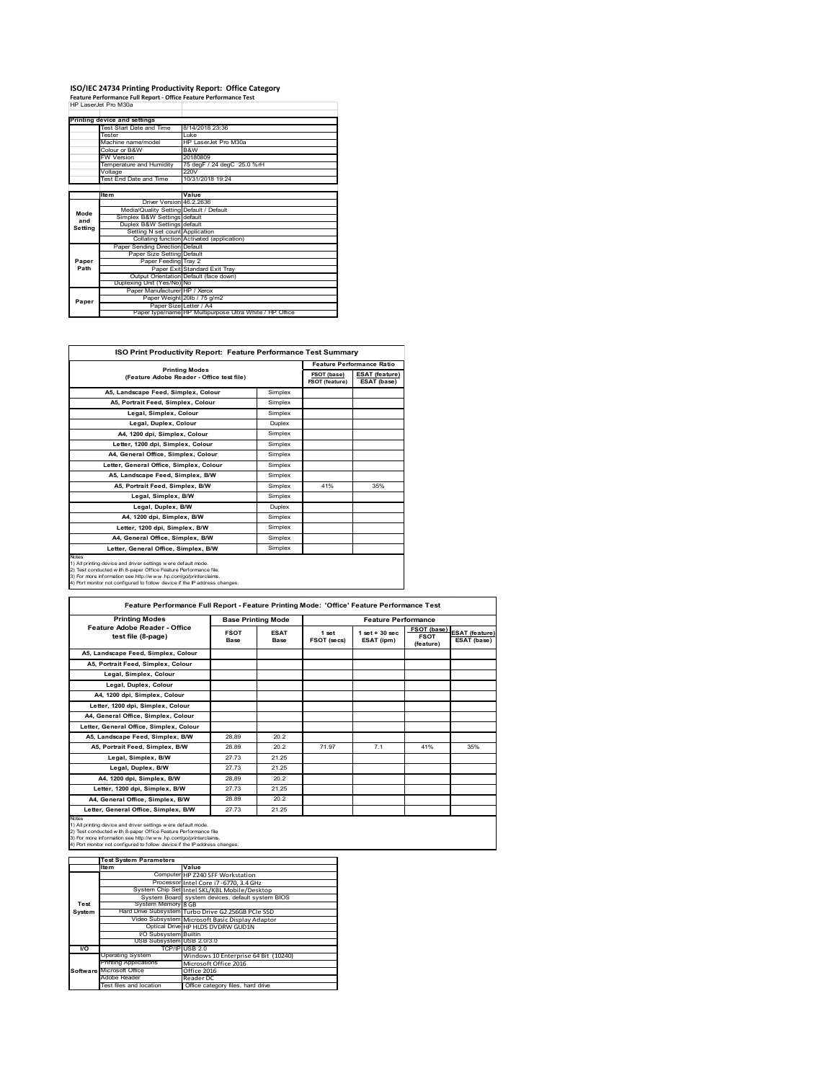## **ISO/IEC 24734 Printing Productivity Report: Office Category Feature Performance Full Report ‐ Office Feature Performance Test** HP LaserJet Pro M30a

|         | Printing device and settings            |                                                         |
|---------|-----------------------------------------|---------------------------------------------------------|
|         | Test Start Date and Time                | 8/14/2018 23:36                                         |
|         | Tester                                  | Luke                                                    |
|         | Machine name/model                      | HP Laser let Pro M30a                                   |
|         | Colour or B&W                           | B&W                                                     |
|         | <b>FW Version</b>                       | 20180809                                                |
|         | Temperature and Humidity                | 75 degF / 24 degC 25.0 %rH                              |
|         | Voltage                                 | 220V                                                    |
|         | Test End Date and Time                  | 10/31/2018 19:24                                        |
|         |                                         |                                                         |
|         | Item                                    | Value                                                   |
|         | Driver Version 46.2.2636                |                                                         |
| Mode    | Media/Quality Setting Default / Default |                                                         |
| and     | Simplex B&W Settings default            |                                                         |
| Setting | Duplex B&W Settings default             |                                                         |
|         | Setting N set count Application         |                                                         |
|         |                                         | Collating function Activated (application)              |
|         | Paper Sending Direction Default         |                                                         |
|         | Paper Size Setting Default              |                                                         |
| Paper   | Paper Feeding Tray 2                    |                                                         |
| Path    |                                         | Paper Exit Standard Exit Trav                           |
|         |                                         | Output Orientation Default (face down)                  |
|         | Duplexing Unit (Yes/No) No              |                                                         |
|         | Paper Manufacturer HP / Xerox           |                                                         |
| Paper   |                                         | Paper Weight 20lb / 75 g/m2                             |
|         | Paper Size Letter / A4                  |                                                         |
|         |                                         | Paper type/name HP Multipurpose Ultra White / HP Office |

|                                                                    |               |                               | <b>Feature Performance Ratio</b>     |  |  |
|--------------------------------------------------------------------|---------------|-------------------------------|--------------------------------------|--|--|
| <b>Printing Modes</b><br>(Feature Adobe Reader - Office test file) |               | FSOT (base)<br>FSOT (feature) | <b>ESAT (feature)</b><br>ESAT (base) |  |  |
| A5, Landscape Feed, Simplex, Colour                                | Simplex       |                               |                                      |  |  |
| A5. Portrait Feed. Simplex. Colour                                 | Simplex       |                               |                                      |  |  |
| Legal, Simplex, Colour                                             | Simplex       |                               |                                      |  |  |
| Legal, Duplex, Colour                                              | <b>Duplex</b> |                               |                                      |  |  |
| A4, 1200 dpi, Simplex, Colour                                      | Simplex       |                               |                                      |  |  |
| Letter, 1200 dpi, Simplex, Colour                                  | Simplex       |                               |                                      |  |  |
| A4, General Office, Simplex, Colour                                | Simplex       |                               |                                      |  |  |
| Letter, General Office, Simplex, Colour                            | Simplex       |                               |                                      |  |  |
| A5, Landscape Feed, Simplex, B/W                                   | Simplex       |                               |                                      |  |  |
| A5, Portrait Feed, Simplex, B/W                                    | Simplex       | 41%                           | 35%                                  |  |  |
| Legal, Simplex, B/W                                                | Simplex       |                               |                                      |  |  |
| Legal, Duplex, B/W                                                 | Duplex        |                               |                                      |  |  |
| A4, 1200 dpi, Simplex, B/W                                         | Simplex       |                               |                                      |  |  |
| Letter, 1200 dpi, Simplex, B/W                                     | Simplex       |                               |                                      |  |  |
| A4, General Office, Simplex, B/W                                   | Simplex       |                               |                                      |  |  |
| Letter, General Office, Simplex, B/W                               | Simplex       |                               |                                      |  |  |

3) For more information see http://w w w .hp.com/go/printerclaims. 4) Port monitor not configured to follow device if the IP address changes.

**FSOT Base ESAT Base 1 set FSOT (secs) 1 set + 30 sec ESAT (ipm) FSOT (base) FSOT (feature) ESAT (feature) ESAT (base) A5, Landscape Feed, Simplex, Colour A5, Portrait Feed, Simplex, Colour Legal, Simplex, Colour Legal, Duplex, Colour** A4, 1200 dpi, Simplex, Colou **Letter, 1200 dpi, Simplex, Colour A4, General Office, Simplex, Colour Letter, General Office, Simplex, Colour A5, Landscape Feed, Simplex, B/W** 28.89 20.2 **A5, Portrait Feed, Simplex, B/W** 28.89 20.2 71.97 7.1 41% 35% 269 269 27.73 21.25 **Legal, Simplex, B/W** 27.73 21.25<br> **Legal, Duplex, B/W** 27.73 21.25 Legal, Duplex, B/W **A4, 1200 dpi, Simplex, B/W** 28.89 20.2 **Letter, 1200 dpi, Simplex, B/W** 27.73 21.25 **A4, General Office, Simplex, B/W** 28.89 20.2 Letter, General Office, Simplex, B/W 27.73 21.25 Notes<br>1) All printing device and driver settings were default mode.<br>2) Test conducted with 8-paper Office Feature Performance file<br>3) For more information see http://www.hp.com/go/printerclaims.<br>4) Por monitor not configur **Feature Performance Full Report - Feature Printing Mode: 'Office' Feature Performance Test Printing Modes Base Printing Mode Feature Performance Feature Adobe Reader - Office test file (8-page)**

|        | <b>Test System Parameters</b> |                                                    |
|--------|-------------------------------|----------------------------------------------------|
|        | <b>Item</b>                   | Value                                              |
|        |                               | Computer HP Z240 SFF Workstation                   |
|        |                               | Processor Intel Core i7 -6770, 3.4 GHz             |
|        |                               | System Chip Set Intel SKL/KBL Mobile/Desktop       |
|        |                               | System Board system devices, default system BIOS   |
| Test   | System Memory 8 GB            |                                                    |
| System |                               | Hard Drive Subsystem Turbo Drive G2 256GB PCIe SSD |
|        |                               | Video Subsystem Microsoft Basic Display Adaptor    |
|        |                               | Optical Drive HP HLDS DVDRW GUD1N                  |
|        | I/O Subsystem Builtin         |                                                    |
|        | USB Subsystem USB 2.0/3.0     |                                                    |
| I/O    |                               | TCP/IPIUSB 2.0                                     |
|        | <b>Operating System</b>       | Windows 10 Enterprise 64 Bit (10240)               |
|        | <b>Printing Applications</b>  | Microsoft Office 2016                              |
|        | Software Microsoft Office     | Office 2016                                        |
|        | Adobe Reader                  | Reader DC                                          |
|        | Test files and location       | Office category files, hard drive                  |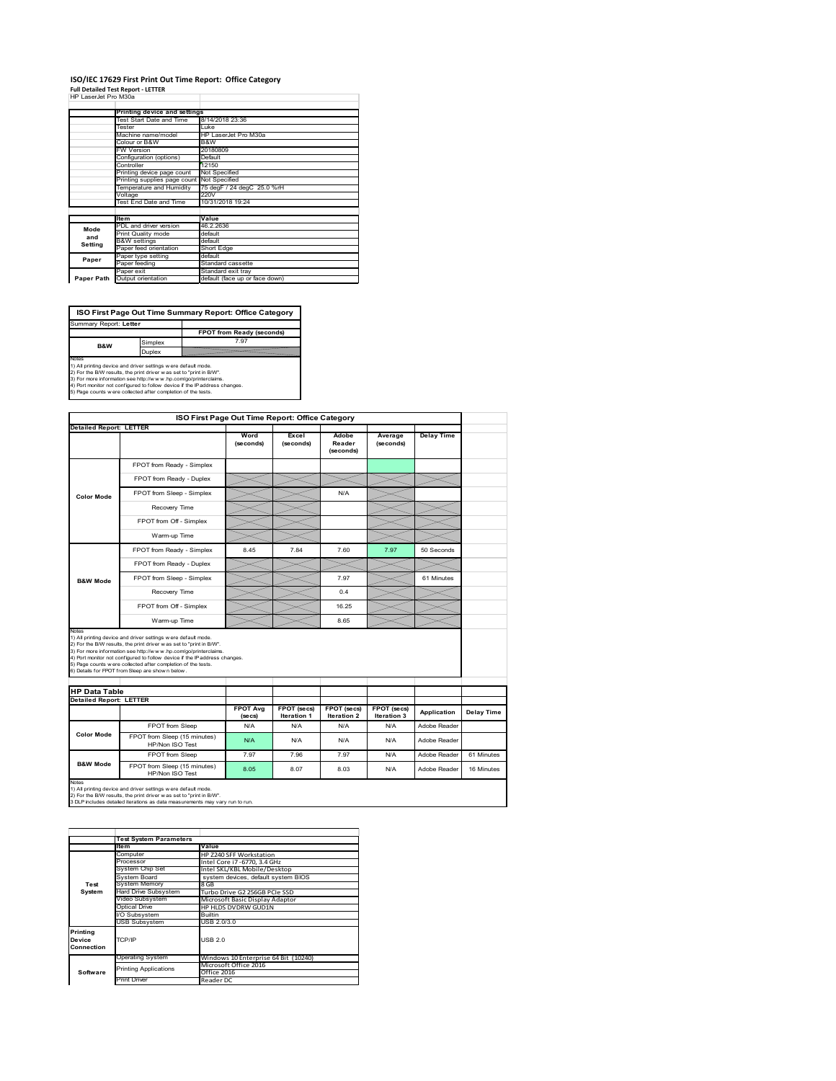### **ISO/IEC 17629 First Print Out Time Report: Office Category Full Detailed Test Report ‐ LETTER** HP LaserJet Pro M30a

|  | HP LaserJet Pro M30a |  |
|--|----------------------|--|

| 62 Tasece PR) M.N.A |                                            |                                |
|---------------------|--------------------------------------------|--------------------------------|
|                     | Printing device and settings               |                                |
|                     | Test Start Date and Time                   | 8/14/2018 23:36                |
|                     | Tester                                     | Luke                           |
|                     | Machine name/model                         | HP LaserJet Pro M30a           |
|                     | Colour or B&W                              | B&W                            |
|                     | <b>FW Version</b>                          | 20180809                       |
|                     | Configuration (options)                    | Default                        |
|                     | Controller                                 | 12150                          |
|                     | Printing device page count                 | Not Specified                  |
|                     | Printing supplies page count Not Specified |                                |
|                     | Temperature and Humidity                   | 75 degF / 24 degC 25.0 %rH     |
|                     | Voltage                                    | 220V                           |
|                     | Test End Date and Time                     | 10/31/2018 19:24               |
|                     |                                            |                                |
|                     | <b>Item</b>                                | Value                          |
| Mode                | PDL and driver version                     | 46.2.2636                      |
| and                 | Print Quality mode                         | default                        |
| Setting             | <b>B&amp;W</b> settings                    | default                        |
|                     | Paper feed orientation                     | Short Edge                     |
| Paper               | Paper type setting                         | default                        |
|                     | Paper feeding                              | Standard cassette              |
|                     | Paper exit                                 | Standard exit tray             |
| Paper Path          | Output orientation                         | default (face up or face down) |

**FPOT from Ready (seconds)**<br>
Simplex 7.97 **ISO First Page Out Time Summary Report: Office Category** Summary Report: **Letter**

**B&W**

**Duplex**<br>Notes<br>1) All printing device and driver settings were default mode.<br>2) For the BM results, the print driver was set to "print in BM".<br>4) For more information see http://www.hp.com/golprinterclaims.<br>4) Port monitor

|                                                                 |                                                                                                                                                                                                                                                                                                                                                                                                              |                            | ISO First Page Out Time Report: Office Category |                              |                            |                   |            |
|-----------------------------------------------------------------|--------------------------------------------------------------------------------------------------------------------------------------------------------------------------------------------------------------------------------------------------------------------------------------------------------------------------------------------------------------------------------------------------------------|----------------------------|-------------------------------------------------|------------------------------|----------------------------|-------------------|------------|
| <b>Detailed Report: LETTER</b>                                  |                                                                                                                                                                                                                                                                                                                                                                                                              | Word<br>(seconds)          | Excel<br>(seconds)                              | Adobe<br>Reader<br>(seconds) | Average<br>(seconds)       | <b>Delay Time</b> |            |
|                                                                 | FPOT from Ready - Simplex                                                                                                                                                                                                                                                                                                                                                                                    |                            |                                                 |                              |                            |                   |            |
|                                                                 | FPOT from Ready - Duplex                                                                                                                                                                                                                                                                                                                                                                                     |                            |                                                 |                              |                            |                   |            |
| Color Mode                                                      | FPOT from Sleep - Simplex                                                                                                                                                                                                                                                                                                                                                                                    |                            |                                                 | N/A                          |                            |                   |            |
|                                                                 | Recovery Time                                                                                                                                                                                                                                                                                                                                                                                                |                            |                                                 |                              |                            |                   |            |
|                                                                 | FPOT from Off - Simplex                                                                                                                                                                                                                                                                                                                                                                                      |                            |                                                 |                              |                            |                   |            |
|                                                                 | Warm-up Time                                                                                                                                                                                                                                                                                                                                                                                                 |                            |                                                 |                              |                            |                   |            |
|                                                                 | FPOT from Ready - Simplex                                                                                                                                                                                                                                                                                                                                                                                    | 8.45                       | 784                                             | 7.60                         | 7.97                       | 50 Seconds        |            |
|                                                                 | FPOT from Ready - Duplex                                                                                                                                                                                                                                                                                                                                                                                     |                            |                                                 |                              |                            |                   |            |
| <b>B&amp;W Mode</b>                                             | FPOT from Sleep - Simplex                                                                                                                                                                                                                                                                                                                                                                                    |                            |                                                 | 7.97                         |                            | 61 Minutes        |            |
|                                                                 | Recovery Time                                                                                                                                                                                                                                                                                                                                                                                                |                            |                                                 | 0.4                          |                            |                   |            |
|                                                                 |                                                                                                                                                                                                                                                                                                                                                                                                              |                            |                                                 |                              |                            |                   |            |
|                                                                 | FPOT from Off - Simplex                                                                                                                                                                                                                                                                                                                                                                                      |                            |                                                 | 16.25                        |                            |                   |            |
|                                                                 | Warm-up Time                                                                                                                                                                                                                                                                                                                                                                                                 |                            |                                                 | 8.65                         |                            |                   |            |
| Notes<br><b>HP Data Table</b><br><b>Detailed Report: LETTER</b> | 1) All printing device and driver settings w ere default mode.<br>2) For the B/W results, the print driver w as set to "print in B/W".<br>3) For more information see http://www.hp.com/go/printerclaims.<br>4) Port monitor not configured to follow device if the IP address changes.<br>5) Page counts w ere collected after completion of the tests.<br>6) Details for FPOT from Sleep are show n below. |                            |                                                 |                              |                            |                   |            |
|                                                                 |                                                                                                                                                                                                                                                                                                                                                                                                              | <b>FPOT Avg</b><br>(se cs) | FPOT (secs)<br><b>Iteration 1</b>               | FPOT (secs)<br>Iteration 2   | FPOT (secs)<br>Iteration 3 | Application       | Delay Time |
|                                                                 | FPOT from Sleep                                                                                                                                                                                                                                                                                                                                                                                              | N/A                        | N/A                                             | N/A                          | N/A                        | Adobe Reader      |            |
| Color Mode                                                      | FPOT from Sleep (15 minutes)<br>HP/Non ISO Test                                                                                                                                                                                                                                                                                                                                                              | N/A                        | N/A                                             | N/A                          | N/A                        | Adobe Reader      |            |
|                                                                 | FPOT from Sleep                                                                                                                                                                                                                                                                                                                                                                                              | 7.97                       | 7.96                                            | 7.97                         | N/A                        | Adobe Reader      | 61 Minutes |

1) All printing device and driver settings w ere default mode.<br>2) For the B/W results, the print driver w as set to "print in B/W".<br>3 DLP includes detailed iterations as data measurements may vary run to run.

|            | <b>Test System Parameters</b> |                                      |
|------------|-------------------------------|--------------------------------------|
|            | <b>Item</b>                   | Value                                |
|            | Computer                      | HP Z240 SFF Workstation              |
|            | Processor                     | Intel Core i7 -6770, 3.4 GHz         |
|            | <b>System Chip Set</b>        | Intel SKL/KBL Mobile/Desktop         |
|            | System Board                  | system devices, default system BIOS  |
| Test       | <b>System Memory</b>          | 8 GB                                 |
| System     | <b>Hard Drive Subsystem</b>   | Turbo Drive G2 256GB PCIe SSD        |
|            | Video Subsystem               | Microsoft Basic Display Adaptor      |
|            | <b>Optical Drive</b>          | HP HLDS DVDRW GUD1N                  |
|            | I/O Subsystem                 | <b>Builtin</b>                       |
|            | <b>USB Subsystem</b>          | USB 2.0/3.0                          |
| Printing   |                               |                                      |
| Device     | TCP/IP                        | USB <sub>20</sub>                    |
| Connection |                               |                                      |
|            | Operating System              | Windows 10 Enterprise 64 Bit (10240) |
|            | <b>Printing Applications</b>  | Microsoft Office 2016                |
| Software   |                               | Office 2016                          |
|            | <b>Print Driver</b>           | Reader DC                            |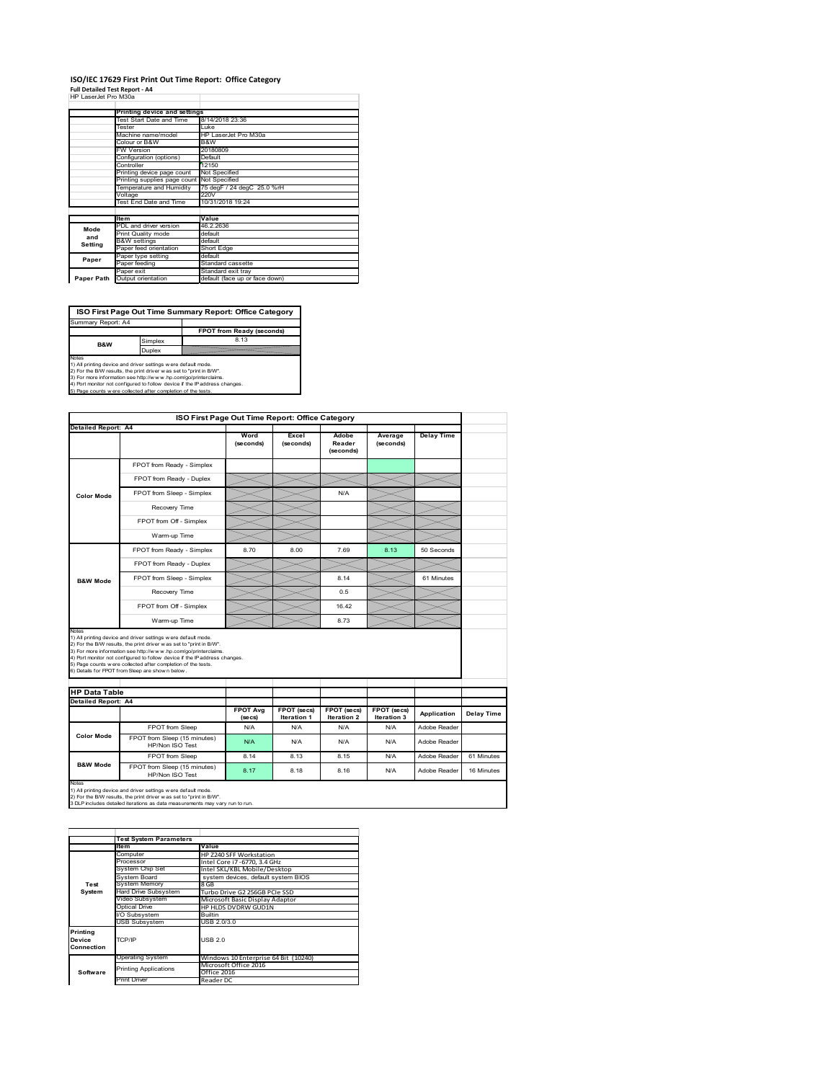### **ISO/IEC 17629 First Print Out Time Report: Office Category Full Detailed Test Report ‐ A4** HP LaserJet Pro M30a

|  | .  = <b></b> . <b></b> |
|--|------------------------|
|  | HP Laser let Pro M30a  |

| - Lasciuct i IV MJVa |                                            |                                |
|----------------------|--------------------------------------------|--------------------------------|
|                      |                                            |                                |
|                      | Printing device and settings               |                                |
|                      | Test Start Date and Time                   | 8/14/2018 23:36                |
|                      | Tester                                     | Luke                           |
|                      | Machine name/model                         | HP LaserJet Pro M30a           |
|                      | Colour or B&W                              | B&W                            |
|                      | <b>FW Version</b>                          | 20180809                       |
|                      | Configuration (options)                    | Default                        |
|                      | Controller                                 | 12150                          |
|                      | Printing device page count                 | Not Specified                  |
|                      | Printing supplies page count Not Specified |                                |
|                      | Temperature and Humidity                   | 75 degF / 24 degC 25.0 %rH     |
|                      | Voltage                                    | 220V                           |
|                      | Test End Date and Time                     | 10/31/2018 19:24               |
|                      |                                            |                                |
|                      | <b>Item</b>                                | Value                          |
| Mode                 | PDL and driver version                     | 46.2.2636                      |
| and                  | Print Quality mode                         | default                        |
|                      | <b>B&amp;W</b> settings                    | default                        |
| Setting              | Paper feed orientation                     | Short Edge                     |
| Paper                | Paper type setting                         | default                        |
|                      | Paper feeding                              | Standard cassette              |
|                      | Paper exit                                 | Standard exit tray             |
| Paper Path           | Output orientation                         | default (face up or face down) |

**ISO First Page Out Time Summary Report: Office Category**

**FPOT from Ready (seconds)** Simplex 8.13 Duplex Notes<br>1) All printing device and driver settings were default mode.<br>2) For the BAV results, the print driver was set to "print in BAV".<br>3) For more information see http://www.hp.com/golprinterclaims.<br>4) Port monitor not co Summary Report: A4 **B&W**

|                                                    |                                                                                                                                                                                                                                                                                                                                                                                                             | ISO First Page Out Time Report: Office Category |                                   |                              |                                   |                   |            |
|----------------------------------------------------|-------------------------------------------------------------------------------------------------------------------------------------------------------------------------------------------------------------------------------------------------------------------------------------------------------------------------------------------------------------------------------------------------------------|-------------------------------------------------|-----------------------------------|------------------------------|-----------------------------------|-------------------|------------|
| <b>Detailed Report: A4</b>                         |                                                                                                                                                                                                                                                                                                                                                                                                             | Word<br>(seconds)                               | Excel<br>(seconds)                | Adobe<br>Reader<br>(seconds) | Average<br>(seconds)              | <b>Delay Time</b> |            |
|                                                    | FPOT from Ready - Simplex                                                                                                                                                                                                                                                                                                                                                                                   |                                                 |                                   |                              |                                   |                   |            |
|                                                    | FPOT from Ready - Duplex                                                                                                                                                                                                                                                                                                                                                                                    |                                                 |                                   |                              |                                   |                   |            |
| <b>Color Mode</b>                                  | FPOT from Sleep - Simplex                                                                                                                                                                                                                                                                                                                                                                                   |                                                 |                                   | N/A                          |                                   |                   |            |
|                                                    | Recovery Time                                                                                                                                                                                                                                                                                                                                                                                               |                                                 |                                   |                              |                                   |                   |            |
|                                                    | FPOT from Off - Simplex                                                                                                                                                                                                                                                                                                                                                                                     |                                                 |                                   |                              |                                   |                   |            |
|                                                    | Warm-up Time                                                                                                                                                                                                                                                                                                                                                                                                |                                                 |                                   |                              |                                   |                   |            |
|                                                    | FPOT from Ready - Simplex                                                                                                                                                                                                                                                                                                                                                                                   | 8.70                                            | 8.00                              | 7.69                         | 8.13                              | 50 Seconds        |            |
|                                                    | FPOT from Ready - Duplex                                                                                                                                                                                                                                                                                                                                                                                    |                                                 |                                   |                              |                                   |                   |            |
| <b>B&amp;W Mode</b>                                | FPOT from Sleep - Simplex                                                                                                                                                                                                                                                                                                                                                                                   |                                                 |                                   | 8.14                         |                                   | 61 Minutes        |            |
|                                                    |                                                                                                                                                                                                                                                                                                                                                                                                             |                                                 |                                   | 0.5                          |                                   |                   |            |
|                                                    | Recovery Time                                                                                                                                                                                                                                                                                                                                                                                               |                                                 |                                   |                              |                                   |                   |            |
|                                                    | FPOT from Off - Simplex                                                                                                                                                                                                                                                                                                                                                                                     |                                                 |                                   | 16.42                        |                                   |                   |            |
| Notes                                              | Warm-up Time                                                                                                                                                                                                                                                                                                                                                                                                |                                                 |                                   | 8.73                         |                                   |                   |            |
| <b>HP Data Table</b><br><b>Detailed Report: A4</b> | 1) All printing device and driver settings w ere default mode.<br>2) For the B/W results, the print driver was set to "print in B/W".<br>3) For more information see http://www.hp.com/go/printerclaims.<br>4) Port monitor not configured to follow device if the IP address changes.<br>5) Page counts w ere collected after completion of the tests.<br>6) Details for FPOT from Sleep are show n below. |                                                 |                                   |                              |                                   |                   |            |
|                                                    |                                                                                                                                                                                                                                                                                                                                                                                                             | <b>FPOT Avg</b><br>(se cs)                      | FPOT (secs)<br><b>Iteration 1</b> | FPOT (secs)<br>Iteration 2   | FPOT (secs)<br><b>Iteration 3</b> | Application       | Delay Time |
|                                                    | FPOT from Sleep                                                                                                                                                                                                                                                                                                                                                                                             | N/A                                             | N/A                               | N/A                          | N/A                               | Adobe Reader      |            |
| <b>Color Mode</b>                                  | FPOT from Sleep (15 minutes)<br>HP/Non ISO Test                                                                                                                                                                                                                                                                                                                                                             | N/A                                             | N/A                               | N/A                          | N/A                               | Adobe Reader      |            |
| <b>B&amp;W Mode</b>                                | FPOT from Sleep                                                                                                                                                                                                                                                                                                                                                                                             | 8.14                                            | 8.13                              | 8.15                         | N/A                               | Adobe Reader      | 61 Minutes |

1) All printing device and driver settings w ere default mode.<br>2) For the B/W results, the print driver w as set to "print in B/W".<br>3 DLP includes detailed iterations as data measurements may vary run to run.

|            | <b>Test System Parameters</b> |                                      |
|------------|-------------------------------|--------------------------------------|
|            | <b>Item</b>                   | Value                                |
|            | Computer                      | HP Z240 SFF Workstation              |
|            | Processor                     | Intel Core i7 -6770, 3.4 GHz         |
|            | <b>System Chip Set</b>        | Intel SKL/KBL Mobile/Desktop         |
|            | <b>System Board</b>           | system devices, default system BIOS  |
| Test       | <b>System Memory</b>          | 8 GB                                 |
| System     | <b>Hard Drive Subsystem</b>   | Turbo Drive G2 256GB PCIe SSD        |
|            | Video Subsystem               | Microsoft Basic Display Adaptor      |
|            | <b>Optical Drive</b>          | HP HLDS DVDRW GUD1N                  |
|            | I/O Subsystem                 | <b>Builtin</b>                       |
|            | <b>USB Subsystem</b>          | USB 2.0/3.0                          |
| Printing   |                               |                                      |
| Device     | TCP/IP                        | USB <sub>20</sub>                    |
| Connection |                               |                                      |
|            | Operating System              | Windows 10 Enterprise 64 Bit (10240) |
|            | <b>Printing Applications</b>  | Microsoft Office 2016                |
| Software   |                               | Office 2016                          |
|            | <b>Print Driver</b>           | Reader DC                            |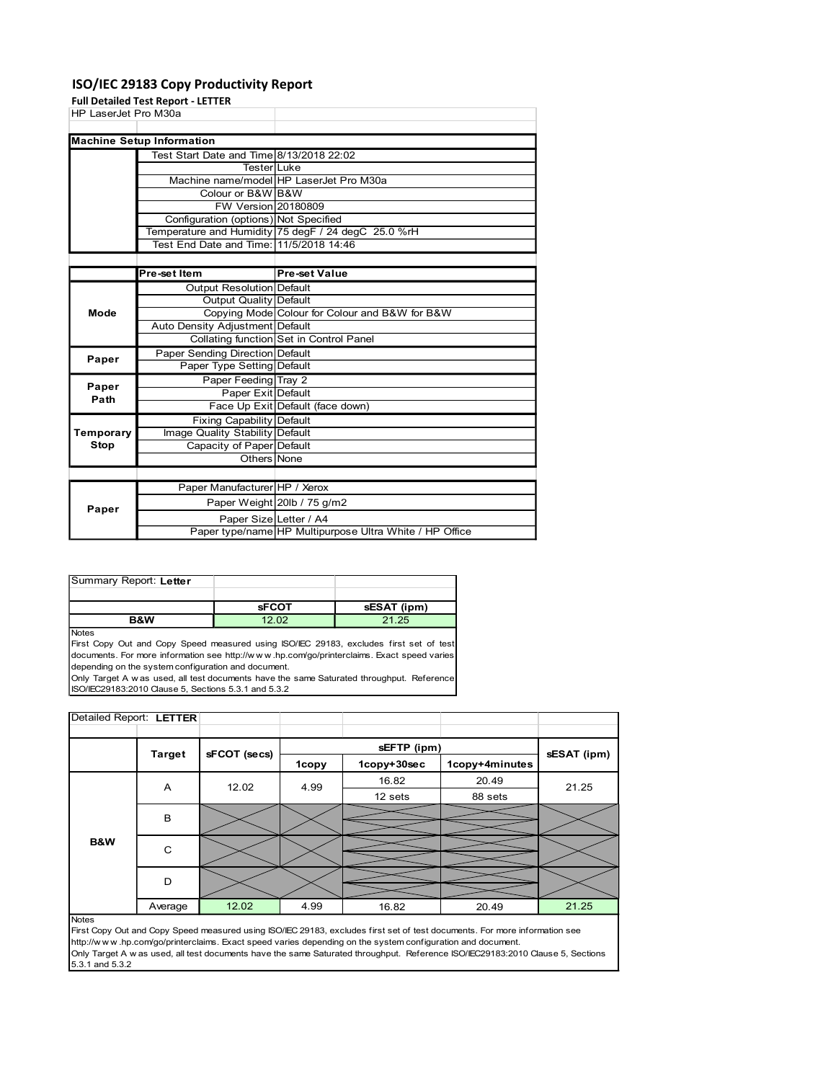### ISO/IEC 29183 Copy Productivity Report

| HP LaserJet Pro M30a<br><b>Machine Setup Information</b><br>Test Start Date and Time 8/13/2018 22:02<br>Tester Luke<br>Machine name/model HP LaserJet Pro M30a<br>Colour or B&W B&W<br><b>FW Version 20180809</b><br>Configuration (options) Not Specified<br>Temperature and Humidity 75 degF / 24 degC 25.0 %rH<br>Test End Date and Time: 11/5/2018 14:46<br><b>Pre-set Value</b><br>Pre-set Item<br><b>Output Resolution Default</b><br><b>Output Quality Default</b><br>Copying Mode Colour for Colour and B&W for B&W<br>Mode<br>Auto Density Adjustment Default<br>Collating function Set in Control Panel<br>Paper Sending Direction Default<br>Paper<br>Paper Type Setting Default<br>Paper Feeding Tray 2<br>Paper<br>Paper Exit Default<br>Path<br>Face Up Exit Default (face down)<br>Fixing Capability Default<br>Temporary<br>Image Quality Stability Default<br><b>Stop</b><br>Capacity of Paper Default<br>Others None<br>Paper Manufacturer HP / Xerox<br>Paper Weight 20lb / 75 g/m2<br>Paper<br>Paper Size Letter / A4<br>Paper type/name HP Multipurpose Ultra White / HP Office<br>Summary Report: Letter<br><b>sFCOT</b><br>sESAT (ipm)<br><b>B&amp;W</b><br>12.02<br>21.25<br>First Copy Out and Copy Speed measured using ISO/IEC 29183, excludes first set of test<br>documents. For more information see http://www.hp.com/go/printerclaims. Exact speed varies<br>depending on the system configuration and document.<br>Only Target A w as used, all test documents have the same Saturated throughput. Reference<br>ISO/IEC29183:2010 Clause 5, Sections 5.3.1 and 5.3.2<br>Detailed Report: LETTER<br>sEFTP (ipm)<br><b>Target</b><br>sFCOT (secs)<br>sESAT (ipm) |       |  |  |  |
|-------------------------------------------------------------------------------------------------------------------------------------------------------------------------------------------------------------------------------------------------------------------------------------------------------------------------------------------------------------------------------------------------------------------------------------------------------------------------------------------------------------------------------------------------------------------------------------------------------------------------------------------------------------------------------------------------------------------------------------------------------------------------------------------------------------------------------------------------------------------------------------------------------------------------------------------------------------------------------------------------------------------------------------------------------------------------------------------------------------------------------------------------------------------------------------------------------------------------------------------------------------------------------------------------------------------------------------------------------------------------------------------------------------------------------------------------------------------------------------------------------------------------------------------------------------------------------------------------------------------------------------------------------------------------------------------------|-------|--|--|--|
|                                                                                                                                                                                                                                                                                                                                                                                                                                                                                                                                                                                                                                                                                                                                                                                                                                                                                                                                                                                                                                                                                                                                                                                                                                                                                                                                                                                                                                                                                                                                                                                                                                                                                                 |       |  |  |  |
|                                                                                                                                                                                                                                                                                                                                                                                                                                                                                                                                                                                                                                                                                                                                                                                                                                                                                                                                                                                                                                                                                                                                                                                                                                                                                                                                                                                                                                                                                                                                                                                                                                                                                                 |       |  |  |  |
|                                                                                                                                                                                                                                                                                                                                                                                                                                                                                                                                                                                                                                                                                                                                                                                                                                                                                                                                                                                                                                                                                                                                                                                                                                                                                                                                                                                                                                                                                                                                                                                                                                                                                                 |       |  |  |  |
|                                                                                                                                                                                                                                                                                                                                                                                                                                                                                                                                                                                                                                                                                                                                                                                                                                                                                                                                                                                                                                                                                                                                                                                                                                                                                                                                                                                                                                                                                                                                                                                                                                                                                                 |       |  |  |  |
|                                                                                                                                                                                                                                                                                                                                                                                                                                                                                                                                                                                                                                                                                                                                                                                                                                                                                                                                                                                                                                                                                                                                                                                                                                                                                                                                                                                                                                                                                                                                                                                                                                                                                                 |       |  |  |  |
|                                                                                                                                                                                                                                                                                                                                                                                                                                                                                                                                                                                                                                                                                                                                                                                                                                                                                                                                                                                                                                                                                                                                                                                                                                                                                                                                                                                                                                                                                                                                                                                                                                                                                                 |       |  |  |  |
|                                                                                                                                                                                                                                                                                                                                                                                                                                                                                                                                                                                                                                                                                                                                                                                                                                                                                                                                                                                                                                                                                                                                                                                                                                                                                                                                                                                                                                                                                                                                                                                                                                                                                                 |       |  |  |  |
|                                                                                                                                                                                                                                                                                                                                                                                                                                                                                                                                                                                                                                                                                                                                                                                                                                                                                                                                                                                                                                                                                                                                                                                                                                                                                                                                                                                                                                                                                                                                                                                                                                                                                                 |       |  |  |  |
|                                                                                                                                                                                                                                                                                                                                                                                                                                                                                                                                                                                                                                                                                                                                                                                                                                                                                                                                                                                                                                                                                                                                                                                                                                                                                                                                                                                                                                                                                                                                                                                                                                                                                                 | Notes |  |  |  |
|                                                                                                                                                                                                                                                                                                                                                                                                                                                                                                                                                                                                                                                                                                                                                                                                                                                                                                                                                                                                                                                                                                                                                                                                                                                                                                                                                                                                                                                                                                                                                                                                                                                                                                 |       |  |  |  |
|                                                                                                                                                                                                                                                                                                                                                                                                                                                                                                                                                                                                                                                                                                                                                                                                                                                                                                                                                                                                                                                                                                                                                                                                                                                                                                                                                                                                                                                                                                                                                                                                                                                                                                 |       |  |  |  |
|                                                                                                                                                                                                                                                                                                                                                                                                                                                                                                                                                                                                                                                                                                                                                                                                                                                                                                                                                                                                                                                                                                                                                                                                                                                                                                                                                                                                                                                                                                                                                                                                                                                                                                 |       |  |  |  |
|                                                                                                                                                                                                                                                                                                                                                                                                                                                                                                                                                                                                                                                                                                                                                                                                                                                                                                                                                                                                                                                                                                                                                                                                                                                                                                                                                                                                                                                                                                                                                                                                                                                                                                 |       |  |  |  |
|                                                                                                                                                                                                                                                                                                                                                                                                                                                                                                                                                                                                                                                                                                                                                                                                                                                                                                                                                                                                                                                                                                                                                                                                                                                                                                                                                                                                                                                                                                                                                                                                                                                                                                 |       |  |  |  |
|                                                                                                                                                                                                                                                                                                                                                                                                                                                                                                                                                                                                                                                                                                                                                                                                                                                                                                                                                                                                                                                                                                                                                                                                                                                                                                                                                                                                                                                                                                                                                                                                                                                                                                 |       |  |  |  |
|                                                                                                                                                                                                                                                                                                                                                                                                                                                                                                                                                                                                                                                                                                                                                                                                                                                                                                                                                                                                                                                                                                                                                                                                                                                                                                                                                                                                                                                                                                                                                                                                                                                                                                 |       |  |  |  |
|                                                                                                                                                                                                                                                                                                                                                                                                                                                                                                                                                                                                                                                                                                                                                                                                                                                                                                                                                                                                                                                                                                                                                                                                                                                                                                                                                                                                                                                                                                                                                                                                                                                                                                 |       |  |  |  |
|                                                                                                                                                                                                                                                                                                                                                                                                                                                                                                                                                                                                                                                                                                                                                                                                                                                                                                                                                                                                                                                                                                                                                                                                                                                                                                                                                                                                                                                                                                                                                                                                                                                                                                 |       |  |  |  |
|                                                                                                                                                                                                                                                                                                                                                                                                                                                                                                                                                                                                                                                                                                                                                                                                                                                                                                                                                                                                                                                                                                                                                                                                                                                                                                                                                                                                                                                                                                                                                                                                                                                                                                 |       |  |  |  |
|                                                                                                                                                                                                                                                                                                                                                                                                                                                                                                                                                                                                                                                                                                                                                                                                                                                                                                                                                                                                                                                                                                                                                                                                                                                                                                                                                                                                                                                                                                                                                                                                                                                                                                 |       |  |  |  |
|                                                                                                                                                                                                                                                                                                                                                                                                                                                                                                                                                                                                                                                                                                                                                                                                                                                                                                                                                                                                                                                                                                                                                                                                                                                                                                                                                                                                                                                                                                                                                                                                                                                                                                 |       |  |  |  |
|                                                                                                                                                                                                                                                                                                                                                                                                                                                                                                                                                                                                                                                                                                                                                                                                                                                                                                                                                                                                                                                                                                                                                                                                                                                                                                                                                                                                                                                                                                                                                                                                                                                                                                 |       |  |  |  |
|                                                                                                                                                                                                                                                                                                                                                                                                                                                                                                                                                                                                                                                                                                                                                                                                                                                                                                                                                                                                                                                                                                                                                                                                                                                                                                                                                                                                                                                                                                                                                                                                                                                                                                 |       |  |  |  |
|                                                                                                                                                                                                                                                                                                                                                                                                                                                                                                                                                                                                                                                                                                                                                                                                                                                                                                                                                                                                                                                                                                                                                                                                                                                                                                                                                                                                                                                                                                                                                                                                                                                                                                 |       |  |  |  |
|                                                                                                                                                                                                                                                                                                                                                                                                                                                                                                                                                                                                                                                                                                                                                                                                                                                                                                                                                                                                                                                                                                                                                                                                                                                                                                                                                                                                                                                                                                                                                                                                                                                                                                 |       |  |  |  |
|                                                                                                                                                                                                                                                                                                                                                                                                                                                                                                                                                                                                                                                                                                                                                                                                                                                                                                                                                                                                                                                                                                                                                                                                                                                                                                                                                                                                                                                                                                                                                                                                                                                                                                 |       |  |  |  |
|                                                                                                                                                                                                                                                                                                                                                                                                                                                                                                                                                                                                                                                                                                                                                                                                                                                                                                                                                                                                                                                                                                                                                                                                                                                                                                                                                                                                                                                                                                                                                                                                                                                                                                 |       |  |  |  |
|                                                                                                                                                                                                                                                                                                                                                                                                                                                                                                                                                                                                                                                                                                                                                                                                                                                                                                                                                                                                                                                                                                                                                                                                                                                                                                                                                                                                                                                                                                                                                                                                                                                                                                 |       |  |  |  |
|                                                                                                                                                                                                                                                                                                                                                                                                                                                                                                                                                                                                                                                                                                                                                                                                                                                                                                                                                                                                                                                                                                                                                                                                                                                                                                                                                                                                                                                                                                                                                                                                                                                                                                 |       |  |  |  |
|                                                                                                                                                                                                                                                                                                                                                                                                                                                                                                                                                                                                                                                                                                                                                                                                                                                                                                                                                                                                                                                                                                                                                                                                                                                                                                                                                                                                                                                                                                                                                                                                                                                                                                 |       |  |  |  |
|                                                                                                                                                                                                                                                                                                                                                                                                                                                                                                                                                                                                                                                                                                                                                                                                                                                                                                                                                                                                                                                                                                                                                                                                                                                                                                                                                                                                                                                                                                                                                                                                                                                                                                 |       |  |  |  |
|                                                                                                                                                                                                                                                                                                                                                                                                                                                                                                                                                                                                                                                                                                                                                                                                                                                                                                                                                                                                                                                                                                                                                                                                                                                                                                                                                                                                                                                                                                                                                                                                                                                                                                 |       |  |  |  |
|                                                                                                                                                                                                                                                                                                                                                                                                                                                                                                                                                                                                                                                                                                                                                                                                                                                                                                                                                                                                                                                                                                                                                                                                                                                                                                                                                                                                                                                                                                                                                                                                                                                                                                 |       |  |  |  |
|                                                                                                                                                                                                                                                                                                                                                                                                                                                                                                                                                                                                                                                                                                                                                                                                                                                                                                                                                                                                                                                                                                                                                                                                                                                                                                                                                                                                                                                                                                                                                                                                                                                                                                 |       |  |  |  |
|                                                                                                                                                                                                                                                                                                                                                                                                                                                                                                                                                                                                                                                                                                                                                                                                                                                                                                                                                                                                                                                                                                                                                                                                                                                                                                                                                                                                                                                                                                                                                                                                                                                                                                 |       |  |  |  |
|                                                                                                                                                                                                                                                                                                                                                                                                                                                                                                                                                                                                                                                                                                                                                                                                                                                                                                                                                                                                                                                                                                                                                                                                                                                                                                                                                                                                                                                                                                                                                                                                                                                                                                 |       |  |  |  |
|                                                                                                                                                                                                                                                                                                                                                                                                                                                                                                                                                                                                                                                                                                                                                                                                                                                                                                                                                                                                                                                                                                                                                                                                                                                                                                                                                                                                                                                                                                                                                                                                                                                                                                 |       |  |  |  |
|                                                                                                                                                                                                                                                                                                                                                                                                                                                                                                                                                                                                                                                                                                                                                                                                                                                                                                                                                                                                                                                                                                                                                                                                                                                                                                                                                                                                                                                                                                                                                                                                                                                                                                 |       |  |  |  |
|                                                                                                                                                                                                                                                                                                                                                                                                                                                                                                                                                                                                                                                                                                                                                                                                                                                                                                                                                                                                                                                                                                                                                                                                                                                                                                                                                                                                                                                                                                                                                                                                                                                                                                 |       |  |  |  |
|                                                                                                                                                                                                                                                                                                                                                                                                                                                                                                                                                                                                                                                                                                                                                                                                                                                                                                                                                                                                                                                                                                                                                                                                                                                                                                                                                                                                                                                                                                                                                                                                                                                                                                 |       |  |  |  |
|                                                                                                                                                                                                                                                                                                                                                                                                                                                                                                                                                                                                                                                                                                                                                                                                                                                                                                                                                                                                                                                                                                                                                                                                                                                                                                                                                                                                                                                                                                                                                                                                                                                                                                 |       |  |  |  |
|                                                                                                                                                                                                                                                                                                                                                                                                                                                                                                                                                                                                                                                                                                                                                                                                                                                                                                                                                                                                                                                                                                                                                                                                                                                                                                                                                                                                                                                                                                                                                                                                                                                                                                 |       |  |  |  |
|                                                                                                                                                                                                                                                                                                                                                                                                                                                                                                                                                                                                                                                                                                                                                                                                                                                                                                                                                                                                                                                                                                                                                                                                                                                                                                                                                                                                                                                                                                                                                                                                                                                                                                 |       |  |  |  |
|                                                                                                                                                                                                                                                                                                                                                                                                                                                                                                                                                                                                                                                                                                                                                                                                                                                                                                                                                                                                                                                                                                                                                                                                                                                                                                                                                                                                                                                                                                                                                                                                                                                                                                 |       |  |  |  |
|                                                                                                                                                                                                                                                                                                                                                                                                                                                                                                                                                                                                                                                                                                                                                                                                                                                                                                                                                                                                                                                                                                                                                                                                                                                                                                                                                                                                                                                                                                                                                                                                                                                                                                 |       |  |  |  |
|                                                                                                                                                                                                                                                                                                                                                                                                                                                                                                                                                                                                                                                                                                                                                                                                                                                                                                                                                                                                                                                                                                                                                                                                                                                                                                                                                                                                                                                                                                                                                                                                                                                                                                 |       |  |  |  |
|                                                                                                                                                                                                                                                                                                                                                                                                                                                                                                                                                                                                                                                                                                                                                                                                                                                                                                                                                                                                                                                                                                                                                                                                                                                                                                                                                                                                                                                                                                                                                                                                                                                                                                 |       |  |  |  |
| <b>Full Detailed Test Report - LETTER</b>                                                                                                                                                                                                                                                                                                                                                                                                                                                                                                                                                                                                                                                                                                                                                                                                                                                                                                                                                                                                                                                                                                                                                                                                                                                                                                                                                                                                                                                                                                                                                                                                                                                       |       |  |  |  |

| Summary Report: Letter |              |             |
|------------------------|--------------|-------------|
|                        |              |             |
|                        | <b>SFCOT</b> | sESAT (ipm) |
| <b>B&amp;W</b>         |              | 21.25       |

| Path<br>Face Up Exit Default (face down)                                                                                                                                                                                                                                                                                          |             |                |             |
|-----------------------------------------------------------------------------------------------------------------------------------------------------------------------------------------------------------------------------------------------------------------------------------------------------------------------------------|-------------|----------------|-------------|
|                                                                                                                                                                                                                                                                                                                                   |             |                |             |
| Fixing Capability Default                                                                                                                                                                                                                                                                                                         |             |                |             |
| Temporary<br>Image Quality Stability Default                                                                                                                                                                                                                                                                                      |             |                |             |
| Stop<br>Capacity of Paper Default                                                                                                                                                                                                                                                                                                 |             |                |             |
| Others None                                                                                                                                                                                                                                                                                                                       |             |                |             |
|                                                                                                                                                                                                                                                                                                                                   |             |                |             |
| Paper Manufacturer HP / Xerox                                                                                                                                                                                                                                                                                                     |             |                |             |
| Paper Weight 20lb / 75 g/m2                                                                                                                                                                                                                                                                                                       |             |                |             |
| Paper                                                                                                                                                                                                                                                                                                                             |             |                |             |
| Paper Size Letter / A4<br>Paper type/name HP Multipurpose Ultra White / HP Office                                                                                                                                                                                                                                                 |             |                |             |
|                                                                                                                                                                                                                                                                                                                                   |             |                |             |
| Summary Report: Letter                                                                                                                                                                                                                                                                                                            |             |                |             |
|                                                                                                                                                                                                                                                                                                                                   |             |                |             |
| <b>sFCOT</b>                                                                                                                                                                                                                                                                                                                      | sESAT (ipm) |                |             |
| 12.02<br>B&W                                                                                                                                                                                                                                                                                                                      | 21.25       |                |             |
| Notes                                                                                                                                                                                                                                                                                                                             |             |                |             |
| documents. For more information see http://www.hp.com/go/printerclaims. Exact speed varies<br>depending on the system configuration and document.<br>Only Target A w as used, all test documents have the same Saturated throughput. Reference<br>ISO/IEC29183:2010 Clause 5, Sections 5.3.1 and 5.3.2<br>Detailed Report: LETTER |             |                |             |
|                                                                                                                                                                                                                                                                                                                                   |             |                |             |
|                                                                                                                                                                                                                                                                                                                                   |             |                |             |
|                                                                                                                                                                                                                                                                                                                                   | sEFTP (ipm) |                |             |
| <b>Target</b><br>sFCOT (secs)                                                                                                                                                                                                                                                                                                     |             |                | sESAT (ipm) |
| <b>1copy</b>                                                                                                                                                                                                                                                                                                                      | 1copy+30sec | 1copy+4minutes |             |
| 12.02<br>4.99<br>A                                                                                                                                                                                                                                                                                                                | 16.82       | 20.49          | 21.25       |
|                                                                                                                                                                                                                                                                                                                                   | 12 sets     | 88 sets        |             |
| В                                                                                                                                                                                                                                                                                                                                 |             |                |             |
|                                                                                                                                                                                                                                                                                                                                   |             |                |             |
| B&W                                                                                                                                                                                                                                                                                                                               |             |                |             |
| ${\bf C}$                                                                                                                                                                                                                                                                                                                         |             |                |             |
| D                                                                                                                                                                                                                                                                                                                                 |             |                |             |
|                                                                                                                                                                                                                                                                                                                                   |             |                |             |
| 12.02<br>Average<br>4.99<br><b>Notes</b>                                                                                                                                                                                                                                                                                          | 16.82       | 20.49          | 21.25       |